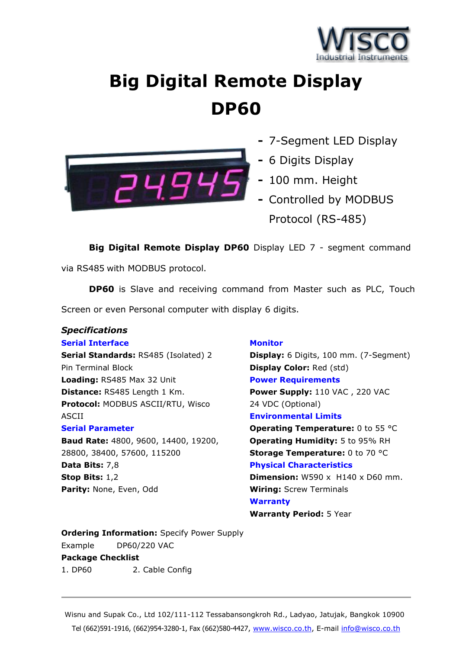

# **Big Digital Remote Display DP60**



- **-** 7-Segment LED Display
- **-** 6 Digits Display
- **-** 100 mm. Height
- **-** Controlled by MODBUS Protocol (RS-485)

**Big Digital Remote Display DP60** Display LED 7 - segment command

via RS485 with MODBUS protocol.

**DP60** is Slave and receiving command from Master such as PLC, Touch Screen or even Personal computer with display 6 digits.

## *Specifications*

#### **Serial Interface**

**Serial Standards:** RS485 (Isolated) 2 Pin Terminal Block **Loading:** RS485 Max 32 Unit **Distance:** RS485 Length 1 Km. **Protocol:** MODBUS ASCII/RTU, Wisco ASCII

#### **Serial Parameter**

**Baud Rate:** 4800, 9600, 14400, 19200, 28800, 38400, 57600, 115200 **Data Bits:** 7,8 **Stop Bits:** 1,2 **Parity:** None, Even, Odd

## **Monitor**

**Display:** 6 Digits, 100 mm. (7-Segment) **Display Color:** Red (std) **Power Requirements Power Supply:** 110 VAC , 220 VAC 24 VDC (Optional) **Environmental Limits**

**Operating Temperature: 0 to 55 °C Operating Humidity:** 5 to 95% RH **Storage Temperature: 0 to 70 °C Physical Characteristics**

**Dimension:** W590 x H140 x D60 mm. **Wiring:** Screw Terminals **Warranty**

**Warranty Period:** 5 Year

**Ordering Information:** Specify Power Supply Example DP60/220 VAC **Package Checklist** 1. DP60 2. Cable Config

Wisnu and Supak Co., Ltd 102/111-112 Tessabansongkroh Rd., Ladyao, Jatujak, Bangkok 10900 Tel (662)591-1916, (662)954-3280-1, Fax (662)580-4427, [www.wisco.co.th,](http://www.wisco.co.th/) E-mail [info@wisco.co.th](mailto:info@wisco.co.th)